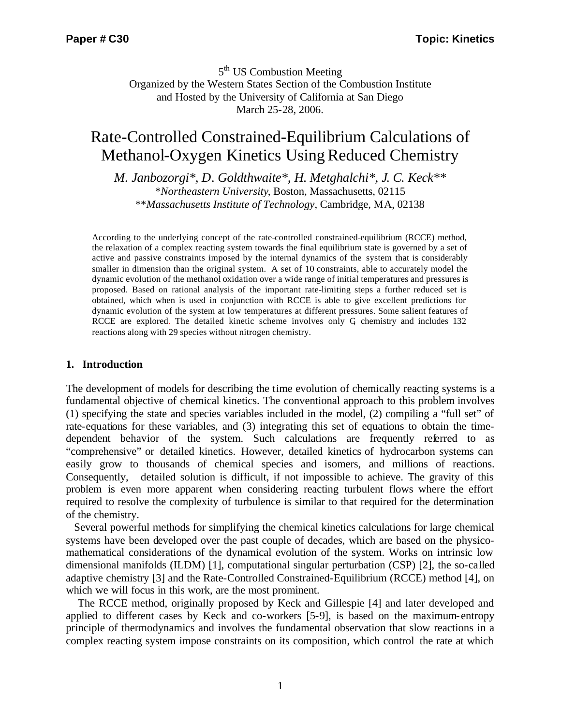5<sup>th</sup> US Combustion Meeting Organized by the Western States Section of the Combustion Institute and Hosted by the University of California at San Diego March 25-28, 2006.

# Rate-Controlled Constrained-Equilibrium Calculations of Methanol-Oxygen Kinetics Using Reduced Chemistry

*M. Janbozorgi\*, D. Goldthwaite\*, H. Metghalchi\*, J. C. Keck\*\** \**Northeastern University*, Boston, Massachusetts, 02115 \*\**Massachusetts Institute of Technology*, Cambridge, MA, 02138

According to the underlying concept of the rate-controlled constrained-equilibrium (RCCE) method, the relaxation of a complex reacting system towards the final equilibrium state is governed by a set of active and passive constraints imposed by the internal dynamics of the system that is considerably smaller in dimension than the original system. A set of 10 constraints, able to accurately model the dynamic evolution of the methanol oxidation over a wide range of initial temperatures and pressures is proposed. Based on rational analysis of the important rate-limiting steps a further reduced set is obtained, which when is used in conjunction with RCCE is able to give excellent predictions for dynamic evolution of the system at low temperatures at different pressures. Some salient features of RCCE are explored. The detailed kinetic scheme involves only  $G$  chemistry and includes 132 reactions along with 29 species without nitrogen chemistry.

## **1. Introduction**

The development of models for describing the time evolution of chemically reacting systems is a fundamental objective of chemical kinetics. The conventional approach to this problem involves (1) specifying the state and species variables included in the model, (2) compiling a "full set" of rate-equations for these variables, and (3) integrating this set of equations to obtain the timedependent behavior of the system. Such calculations are frequently referred to as "comprehensive" or detailed kinetics. However, detailed kinetics of hydrocarbon systems can easily grow to thousands of chemical species and isomers, and millions of reactions. Consequently, detailed solution is difficult, if not impossible to achieve. The gravity of this problem is even more apparent when considering reacting turbulent flows where the effort required to resolve the complexity of turbulence is similar to that required for the determination of the chemistry.

 Several powerful methods for simplifying the chemical kinetics calculations for large chemical systems have been developed over the past couple of decades, which are based on the physicomathematical considerations of the dynamical evolution of the system. Works on intrinsic low dimensional manifolds (ILDM) [1], computational singular perturbation (CSP) [2], the so-called adaptive chemistry [3] and the Rate-Controlled Constrained-Equilibrium (RCCE) method [4], on which we will focus in this work, are the most prominent.

 The RCCE method, originally proposed by Keck and Gillespie [4] and later developed and applied to different cases by Keck and co-workers [5-9], is based on the maximum-entropy principle of thermodynamics and involves the fundamental observation that slow reactions in a complex reacting system impose constraints on its composition, which control the rate at which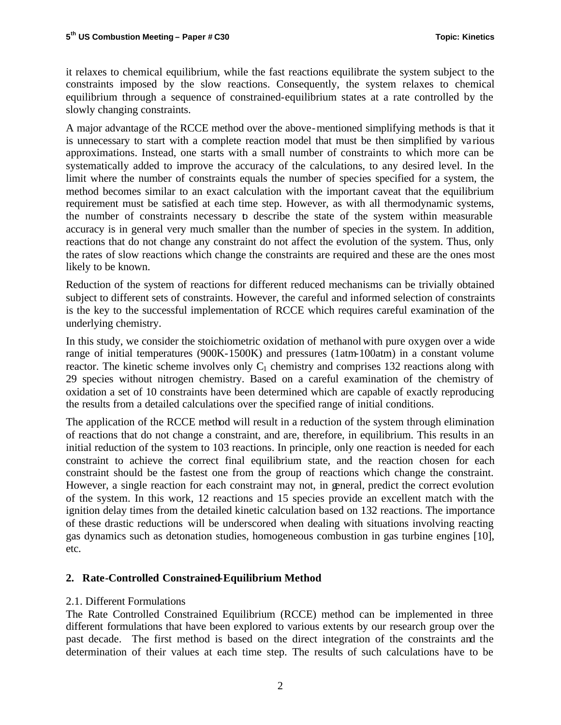it relaxes to chemical equilibrium, while the fast reactions equilibrate the system subject to the constraints imposed by the slow reactions. Consequently, the system relaxes to chemical equilibrium through a sequence of constrained-equilibrium states at a rate controlled by the slowly changing constraints.

A major advantage of the RCCE method over the above-mentioned simplifying methods is that it is unnecessary to start with a complete reaction model that must be then simplified by va rious approximations. Instead, one starts with a small number of constraints to which more can be systematically added to improve the accuracy of the calculations, to any desired level. In the limit where the number of constraints equals the number of species specified for a system, the method becomes similar to an exact calculation with the important caveat that the equilibrium requirement must be satisfied at each time step. However, as with all thermodynamic systems, the number of constraints necessary to describe the state of the system within measurable accuracy is in general very much smaller than the number of species in the system. In addition, reactions that do not change any constraint do not affect the evolution of the system. Thus, only the rates of slow reactions which change the constraints are required and these are the ones most likely to be known.

Reduction of the system of reactions for different reduced mechanisms can be trivially obtained subject to different sets of constraints. However, the careful and informed selection of constraints is the key to the successful implementation of RCCE which requires careful examination of the underlying chemistry.

In this study, we consider the stoichiometric oxidation of methanol with pure oxygen over a wide range of initial temperatures (900K-1500K) and pressures (1atm-100atm) in a constant volume reactor. The kinetic scheme involves only  $C_1$  chemistry and comprises 132 reactions along with 29 species without nitrogen chemistry. Based on a careful examination of the chemistry of oxidation a set of 10 constraints have been determined which are capable of exactly reproducing the results from a detailed calculations over the specified range of initial conditions.

The application of the RCCE method will result in a reduction of the system through elimination of reactions that do not change a constraint, and are, therefore, in equilibrium. This results in an initial reduction of the system to 103 reactions. In principle, only one reaction is needed for each constraint to achieve the correct final equilibrium state, and the reaction chosen for each constraint should be the fastest one from the group of reactions which change the constraint. However, a single reaction for each constraint may not, in general, predict the correct evolution of the system. In this work, 12 reactions and 15 species provide an excellent match with the ignition delay times from the detailed kinetic calculation based on 132 reactions. The importance of these drastic reductions will be underscored when dealing with situations involving reacting gas dynamics such as detonation studies, homogeneous combustion in gas turbine engines [10], etc.

# **2. Rate-Controlled Constrained-Equilibrium Method**

# 2.1. Different Formulations

The Rate Controlled Constrained Equilibrium (RCCE) method can be implemented in three different formulations that have been explored to various extents by our research group over the past decade. The first method is based on the direct integration of the constraints and the determination of their values at each time step. The results of such calculations have to be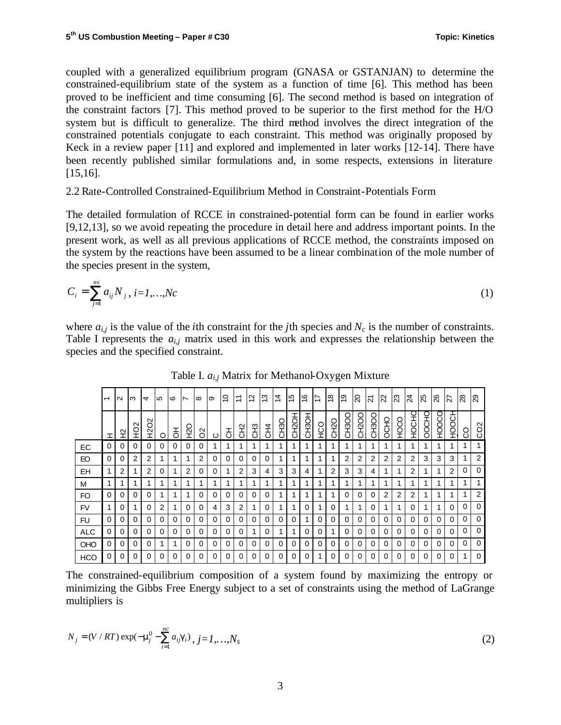coupled with a generalized equilibrium program (GNASA or GSTANJAN) to determine the constrained-equilibrium state of the system as a function of time [6]. This method has been proved to be inefficient and time consuming [6]. The second method is based on integration of the constraint factors [7]. This method proved to be superior to the first method for the H/O system but is difficult to generalize. The third method involves the direct integration of the constrained potentials conjugate to each constraint. This method was originally proposed by Keck in a review paper [11] and explored and implemented in later works [12-14]. There have been recently published similar formulations and, in some respects, extensions in literature [15,16].

2.2 Rate-Controlled Constrained-Equilibrium Method in Constraint-Potentials Form

The detailed formulation of RCCE in constrained-potential form can be found in earlier works [9,12,13], so we avoid repeating the procedure in detail here and address important points. In the present work, as well as all previous applications of RCCE method, the constraints imposed on the system by the reactions have been assumed to be a linear combination of the mole number of the species present in the system,

$$
C_i = \sum_{j=1}^{ns} a_{ij} N_j, i = 1,...,Nc
$$
 (1)

where  $a_{i,j}$  is the value of the *i*th constraint for the *j*th species and  $N_c$  is the number of constraints. Table I represents the  $a_{i,j}$  matrix used in this work and expresses the relationship between the species and the specified constraint.

|            | $\overline{ }$ | $\sim$   | ന        | $\overline{a}$        | LO.      | $\circ$  | $\overline{\phantom{0}}$ | $\infty$ | တ        | \$,      | $\overline{1}$ | $\frac{2}{3}$ | 13             | 4<br>$\overline{ }$ | 15       | $\frac{6}{5}$ | 17       | $\frac{8}{1}$     | $\overline{0}$ | $\Omega$ | $\overline{2}$ | $\overline{2}$ | 23          | $\overline{24}$ | 25       | 26          | 27             | 28       | $\overline{29}$  |
|------------|----------------|----------|----------|-----------------------|----------|----------|--------------------------|----------|----------|----------|----------------|---------------|----------------|---------------------|----------|---------------|----------|-------------------|----------------|----------|----------------|----------------|-------------|-----------------|----------|-------------|----------------|----------|------------------|
|            | ェ              | 요        | SCH      | $\sim$<br>S<br>S<br>H | $\circ$  | 공        | 오<br>오                   | SO       | ပ        | 공        | 오<br>CH2       | <b>CH3</b>    | C <sub>H</sub> | CH <sub>3</sub> O   | CH2OH    | <b>CH3OH</b>  | осу      | CH <sub>2</sub> O | CH3OO          | CH2OO    | CH3OO          | OCHO           | <b>OCOH</b> | <b>OHOCHO</b>   | OOCHO    | <b>COCH</b> | HOOCH          | S        | C <sub>O</sub> 2 |
| EC         | 0              | $\Omega$ | $\Omega$ | $\Omega$              | $\Omega$ | 0        | 0                        | $\Omega$ | 4        |          |                |               |                | ◢                   |          |               |          |                   | 4              |          |                |                |             | 4               |          |             |                | 1        | 1                |
| EO         | 0              | 0        | 2        | $\overline{2}$        |          | 1        | 1                        | 2        | $\Omega$ | 0        | 0              | 0             | 0              | 1                   |          |               |          |                   | $\overline{2}$ | 2        | 2              | $\overline{2}$ | 2           | 2               | 3        | 3           | 3              |          | 2                |
| EH         |                | 2        |          | $\overline{2}$        | 0        | 1        | 2                        | $\Omega$ | $\Omega$ |          | 2              | 3             | 4              | 3                   | 3        | 4             |          | 2                 | 3              | 3        | 4              |                | 4           | $\overline{2}$  |          | 1           | $\overline{2}$ | $\Omega$ | $\Omega$         |
| M          |                | 1        | 1        | 1                     |          | 1        |                          | 4        | 1        |          | 1              |               | 4              | 1                   |          | 1             |          | 4                 | 1              |          | 4              |                | 4           | 1               |          | 1           |                | 1        |                  |
| FO         | $\Omega$       | $\Omega$ | $\Omega$ | $\Omega$              |          | 1        |                          | $\Omega$ | $\Omega$ | $\Omega$ | $\Omega$       | $\Omega$      | $\Omega$       | 1                   |          | 1             |          | 1                 | $\Omega$       | $\Omega$ | $\Omega$       | 2              | 2           | 2               |          | 1           |                | 1        | 2                |
| <b>FV</b>  |                | $\Omega$ |          | 0                     | 2        |          | 0                        | $\Omega$ | 4        | 3        | 2              |               | 0              | 4                   |          | 0             |          | $\Omega$          | 1              |          | 0              |                |             | $\Omega$        |          |             | $\mathbf 0$    | $\Omega$ | $\Omega$         |
| FU         | 0              | 0        | $\Omega$ | $\Omega$              | 0        | $\Omega$ | 0                        | $\Omega$ | $\Omega$ | $\Omega$ | 0              | 0             | 0              | $\Omega$            | 0        |               | 0        | $\Omega$          | $\Omega$       | 0        | 0              | $\Omega$       | $\Omega$    | $\Omega$        | 0        | $\Omega$    | $\Omega$       | $\Omega$ | $\Omega$         |
| <b>ALC</b> | 0              | 0        | $\Omega$ | $\Omega$              | $\Omega$ | $\Omega$ | 0                        | 0        | $\Omega$ | 0        | 0              |               | 0              | 1                   |          | 0             | 0        |                   | $\Omega$       | 0        | 0              | $\Omega$       | $\Omega$    | $\Omega$        | 0        | 0           | $\Omega$       | $\Omega$ | $\Omega$         |
| <b>OHO</b> | 0              | $\Omega$ | $\Omega$ | $\Omega$              |          | 1        | 0                        | 0        | $\Omega$ | 0        | $\Omega$       | 0             | 0              | $\Omega$            | 0        | 0             | $\Omega$ | $\Omega$          | $\Omega$       | 0        | 0              | $\Omega$       | $\Omega$    | $\Omega$        | 0        | $\Omega$    | $\Omega$       | $\Omega$ | $\Omega$         |
| <b>HCO</b> | 0              | $\Omega$ | $\Omega$ | $\Omega$              | $\Omega$ | $\Omega$ | $\Omega$                 | $\Omega$ | $\Omega$ | 0        | $\Omega$       | $\Omega$      | $\Omega$       | $\Omega$            | $\Omega$ | 0             |          | $\Omega$          | $\Omega$       | $\Omega$ | $\Omega$       | $\Omega$       | $\Omega$    | $\Omega$        | $\Omega$ | $\Omega$    | $\Omega$       | 1        | $\Omega$         |

Table I. *ai,j* Matrix for Methanol-Oxygen Mixture

The constrained-equilibrium composition of a system found by maximizing the entropy or minimizing the Gibbs Free Energy subject to a set of constraints using the method of LaGrange multipliers is

$$
N_j = (V / RT) \exp(-\mathbf{m}_j^0 - \sum_{i=1}^{nc} a_{ij} \mathbf{g}_i), j = 1, ..., N_s
$$
 (2)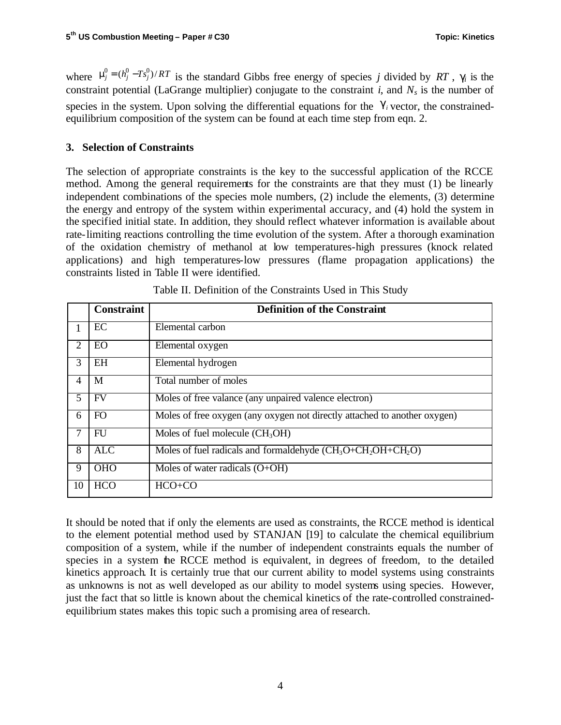where  $\mathbf{m}_j^0 = (h_j^0 - Ts_j^0)/RT$  is the standard Gibbs free energy of species *j* divided by RT,  $\mathbf{g}_i$  is the constraint potential (LaGrange multiplier) conjugate to the constraint *i*, and  $N_s$  is the number of species in the system. Upon solving the differential equations for the  $g_i$  vector, the constrainedequilibrium composition of the system can be found at each time step from eqn. 2.

# **3. Selection of Constraints**

The selection of appropriate constraints is the key to the successful application of the RCCE method. Among the general requirements for the constraints are that they must (1) be linearly independent combinations of the species mole numbers, (2) include the elements, (3) determine the energy and entropy of the system within experimental accuracy, and (4) hold the system in the specified initial state. In addition, they should reflect whatever information is available about rate-limiting reactions controlling the time evolution of the system. After a thorough examination of the oxidation chemistry of methanol at low temperatures-high pressures (knock related applications) and high temperatures-low pressures (flame propagation applications) the constraints listed in Table II were identified.

|                | <b>Constraint</b> | <b>Definition of the Constraint</b>                                       |
|----------------|-------------------|---------------------------------------------------------------------------|
|                | EC                | Elemental carbon                                                          |
| 2              | <b>EO</b>         | Elemental oxygen                                                          |
| 3              | <b>EH</b>         | Elemental hydrogen                                                        |
| $\overline{4}$ | M                 | Total number of moles                                                     |
| 5              | <b>FV</b>         | Moles of free valance (any unpaired valence electron)                     |
| 6              | FO <sub>1</sub>   | Moles of free oxygen (any oxygen not directly attached to another oxygen) |
| 7              | FU                | Moles of fuel molecule $(CH_3OH)$                                         |
| 8              | <b>ALC</b>        | Moles of fuel radicals and formaldehyde $(CH_3O+CH_2OH+CH_2O)$            |
| 9              | <b>OHO</b>        | Moles of water radicals $(O+OH)$                                          |
| 10             | <b>HCO</b>        | $HCO+CO$                                                                  |

Table II. Definition of the Constraints Used in This Study

It should be noted that if only the elements are used as constraints, the RCCE method is identical to the element potential method used by STANJAN [19] to calculate the chemical equilibrium composition of a system, while if the number of independent constraints equals the number of species in a system the RCCE method is equivalent, in degrees of freedom, to the detailed kinetics approach. It is certainly true that our current ability to model systems using constraints as unknowns is not as well developed as our ability to model systems using species. However, just the fact that so little is known about the chemical kinetics of the rate-controlled constrainedequilibrium states makes this topic such a promising area of research.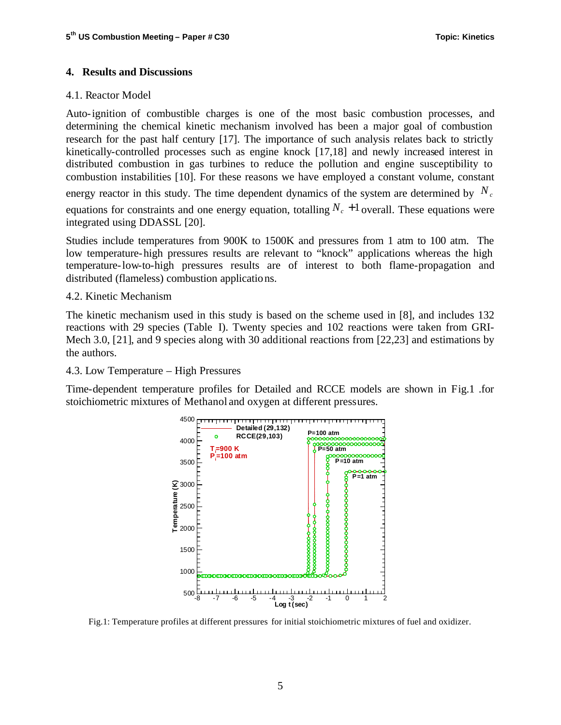#### **4. Results and Discussions**

## 4.1. Reactor Model

Auto-ignition of combustible charges is one of the most basic combustion processes, and determining the chemical kinetic mechanism involved has been a major goal of combustion research for the past half century [17]. The importance of such analysis relates back to strictly kinetically-controlled processes such as engine knock [17,18] and newly increased interest in distributed combustion in gas turbines to reduce the pollution and engine susceptibility to combustion instabilities [10]. For these reasons we have employed a constant volume, constant energy reactor in this study. The time dependent dynamics of the system are determined by  $N_c$ equations for constraints and one energy equation, totalling  $N_c + 1$  overall. These equations were integrated using DDASSL [20].

Studies include temperatures from 900K to 1500K and pressures from 1 atm to 100 atm. The low temperature-high pressures results are relevant to "knock" applications whereas the high temperature-low-to-high pressures results are of interest to both flame-propagation and distributed (flameless) combustion applications.

#### 4.2. Kinetic Mechanism

The kinetic mechanism used in this study is based on the scheme used in [8], and includes 132 reactions with 29 species (Table I). Twenty species and 102 reactions were taken from GRI-Mech 3.0, [21], and 9 species along with 30 additional reactions from [22,23] and estimations by the authors.

#### 4.3. Low Temperature – High Pressures

Time-dependent temperature profiles for Detailed and RCCE models are shown in Fig.1 .for stoichiometric mixtures of Methanol and oxygen at different pressures.



Fig.1: Temperature profiles at different pressures for initial stoichiometric mixtures of fuel and oxidizer.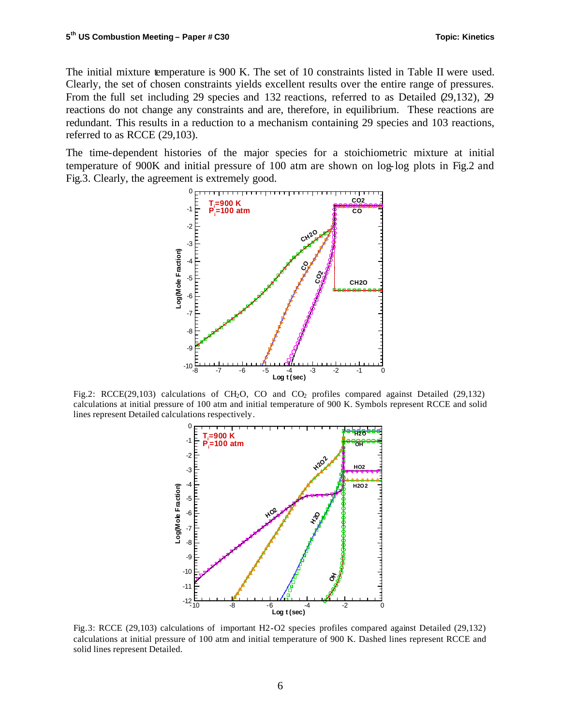The initial mixture temperature is 900 K. The set of 10 constraints listed in Table II were used. Clearly, the set of chosen constraints yields excellent results over the entire range of pressures. From the full set including 29 species and 132 reactions, referred to as Detailed (29,132), 29 reactions do not change any constraints and are, therefore, in equilibrium. These reactions are redundant. This results in a reduction to a mechanism containing 29 species and 103 reactions, referred to as RCCE (29,103).

The time-dependent histories of the major species for a stoichiometric mixture at initial temperature of 900K and initial pressure of 100 atm are shown on log-log plots in Fig.2 and Fig.3. Clearly, the agreement is extremely good.



Fig.2: RCCE(29,103) calculations of CH<sub>2</sub>O, CO and CO<sub>2</sub> profiles compared against Detailed (29,132) calculations at initial pressure of 100 atm and initial temperature of 900 K. Symbols represent RCCE and solid lines represent Detailed calculations respectively.



Fig.3: RCCE (29,103) calculations of important H2-O2 species profiles compared against Detailed (29,132) calculations at initial pressure of 100 atm and initial temperature of 900 K. Dashed lines represent RCCE and solid lines represent Detailed.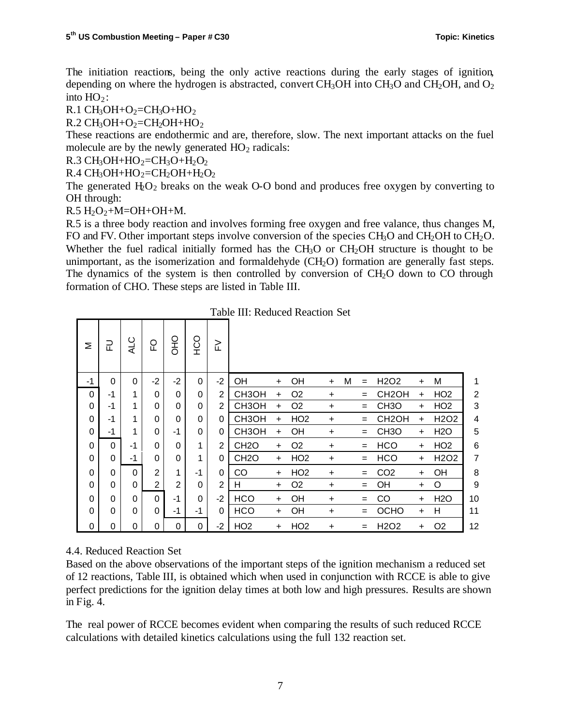The initiation reactions, being the only active reactions during the early stages of ignition, depending on where the hydrogen is abstracted, convert  $CH_3OH$  into  $CH_3O$  and  $CH_2OH$ , and  $O_2$ into  $HO_2$ :

R.1 CH<sub>3</sub>OH+O<sub>2</sub>=CH<sub>3</sub>O+HO<sub>2</sub>

 $R.2 \text{ CH}_3OH + O_2 = CH_2OH + HO_2$ 

These reactions are endothermic and are, therefore, slow. The next important attacks on the fuel molecule are by the newly generated  $HO<sub>2</sub>$  radicals:

 $R.3 CH<sub>3</sub>OH+HO<sub>2</sub>=CH<sub>3</sub>O+H<sub>2</sub>O<sub>2</sub>$ 

 $R.4 \text{ CH}_3\text{OH} + \text{HO}_2 = \text{CH}_2\text{OH} + \text{H}_2\text{O}_2$ 

The generated  $H_2O_2$  breaks on the weak O-O bond and produces free oxygen by converting to OH through:

 $R.5 H<sub>2</sub>O<sub>2</sub>+M=OH+OH+M.$ 

R.5 is a three body reaction and involves forming free oxygen and free valance, thus changes M, FO and FV. Other important steps involve conversion of the species  $CH_3O$  and  $CH_2OH$  to  $CH_2O$ . Whether the fuel radical initially formed has the  $CH_3O$  or  $CH_2OH$  structure is thought to be unimportant, as the isomerization and formaldehyde  $(CH_2O)$  formation are generally fast steps. The dynamics of the system is then controlled by conversion of  $CH<sub>2</sub>O$  down to CO through formation of CHO. These steps are listed in Table III.

Table III: Reduced Reaction Set

| Σ  | 군           | <b>ALC</b> | C<br>FO        | OHO            | OCH      | 깉        |                    |           |                 |           |   |     |                               |           |                               |                |
|----|-------------|------------|----------------|----------------|----------|----------|--------------------|-----------|-----------------|-----------|---|-----|-------------------------------|-----------|-------------------------------|----------------|
| -1 | $\mathbf 0$ | 0          | $-2$           | $-2$           | 0        | $-2$     | <b>OH</b>          | $\ddot{}$ | OH              | $\ddot{}$ | M | $=$ | H <sub>2</sub> O <sub>2</sub> | +         | M                             | 1              |
| 0  | $-1$        | 1          | 0              | 0              | $\Omega$ | 2        | CH <sub>3</sub> OH | $\ddot{}$ | O <sub>2</sub>  | $\ddot{}$ |   | $=$ | CH <sub>2</sub> OH            | $\ddot{}$ | HO <sub>2</sub>               | $\overline{c}$ |
| 0  | $-1$        |            | 0              | 0              | 0        | 2        | CH <sub>3</sub> OH | $\ddot{}$ | O <sub>2</sub>  | +         |   | $=$ | CH <sub>3</sub> O             | +         | HO <sub>2</sub>               | 3              |
| 0  | $-1$        |            | 0              | 0              | $\Omega$ | $\Omega$ | CH <sub>3</sub> OH | $\ddot{}$ | HO <sub>2</sub> | $\ddot{}$ |   | $=$ | CH <sub>2</sub> OH            | $\ddot{}$ | H <sub>2</sub> O <sub>2</sub> | 4              |
| 0  | -1          |            | 0              | -1             | 0        | 0        | CH <sub>3</sub> OH | $\ddot{}$ | OH              | $\ddot{}$ |   | $=$ | CH <sub>3</sub> O             | $+$       | <b>H2O</b>                    | 5              |
| 0  | $\mathbf 0$ | -1         | 0              | 0              | 1        | 2        | CH <sub>2</sub> O  | $+$       | O <sub>2</sub>  | $\ddot{}$ |   | $=$ | <b>HCO</b>                    | +         | HO <sub>2</sub>               | 6              |
| 0  | 0           | -1         | 0              | 0              | 1        | 0        | CH <sub>2</sub> O  | $\ddot{}$ | HO <sub>2</sub> | +         |   | $=$ | <b>HCO</b>                    | +         | H <sub>2</sub> O <sub>2</sub> | 7              |
| 0  | $\Omega$    | $\Omega$   | $\overline{2}$ |                | -1       | $\Omega$ | CO                 | $\ddot{}$ | HO <sub>2</sub> | +         |   | $=$ | CO <sub>2</sub>               | $+$       | OH                            | 8              |
| 0  | $\Omega$    | 0          | 2              | $\overline{2}$ | 0        | 2        | H                  | $\ddot{}$ | O <sub>2</sub>  | $\ddot{}$ |   | $=$ | OH                            | +         | O                             | 9              |
| 0  | $\Omega$    | 0          | $\Omega$       | -1             | $\Omega$ | $-2$     | <b>HCO</b>         | $+$       | OH              | $\ddot{}$ |   | Ξ   | CO                            | $\ddot{}$ | <b>H2O</b>                    | 10             |
| 0  | $\Omega$    | 0          | 0              | -1             | -1       | $\Omega$ | <b>HCO</b>         | $\ddot{}$ | OH              | +         |   | $=$ | <b>OCHO</b>                   | +         | Н                             | 11             |
| 0  | $\Omega$    | 0          | 0              | 0              | $\Omega$ | $-2$     | HO <sub>2</sub>    | $\ddot{}$ | HO <sub>2</sub> | +         |   | Ξ   | H <sub>2</sub> O <sub>2</sub> | $\ddot{}$ | O <sub>2</sub>                | 12             |

# 4.4. Reduced Reaction Set

Based on the above observations of the important steps of the ignition mechanism a reduced set of 12 reactions, Table III, is obtained which when used in conjunction with RCCE is able to give perfect predictions for the ignition delay times at both low and high pressures. Results are shown in Fig. 4.

The real power of RCCE becomes evident when comparing the results of such reduced RCCE calculations with detailed kinetics calculations using the full 132 reaction set.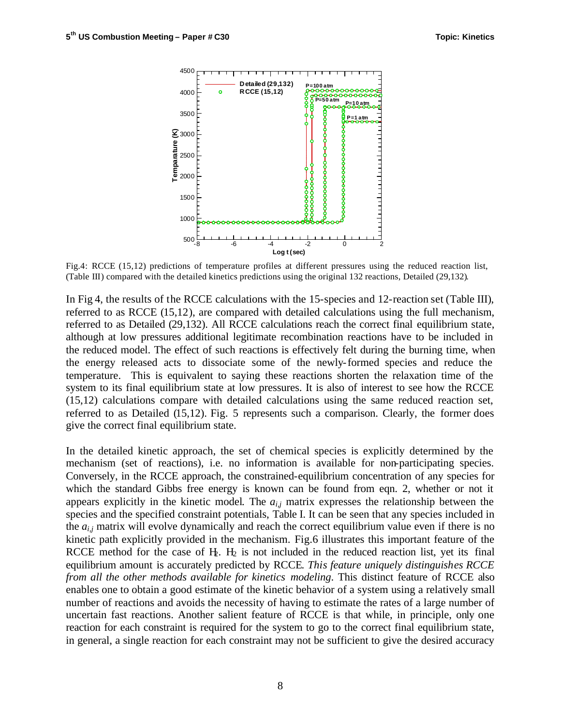

Fig.4: RCCE (15,12) predictions of temperature profiles at different pressures using the reduced reaction list, (Table III) compared with the detailed kinetics predictions using the original 132 reactions, Detailed (29,132).

In Fig 4, the results of the RCCE calculations with the 15-species and 12-reaction set (Table III), referred to as RCCE (15,12), are compared with detailed calculations using the full mechanism, referred to as Detailed (29,132). All RCCE calculations reach the correct final equilibrium state, although at low pressures additional legitimate recombination reactions have to be included in the reduced model. The effect of such reactions is effectively felt during the burning time, when the energy released acts to dissociate some of the newly-formed species and reduce the temperature. This is equivalent to saying these reactions shorten the relaxation time of the system to its final equilibrium state at low pressures. It is also of interest to see how the RCCE (15,12) calculations compare with detailed calculations using the same reduced reaction set, referred to as Detailed (15,12). Fig. 5 represents such a comparison. Clearly, the former does give the correct final equilibrium state.

In the detailed kinetic approach, the set of chemical species is explicitly determined by the mechanism (set of reactions), i.e. no information is available for non-participating species. Conversely, in the RCCE approach, the constrained-equilibrium concentration of any species for which the standard Gibbs free energy is known can be found from eqn. 2, whether or not it appears explicitly in the kinetic model. The *ai,j* matrix expresses the relationship between the species and the specified constraint potentials, Table I. It can be seen that any species included in the *ai,j* matrix will evolve dynamically and reach the correct equilibrium value even if there is no kinetic path explicitly provided in the mechanism. Fig.6 illustrates this important feature of the RCCE method for the case of  $H_2$ .  $H_2$  is not included in the reduced reaction list, yet its final equilibrium amount is accurately predicted by RCCE. *This feature uniquely distinguishes RCCE from all the other methods available for kinetics modeling*. This distinct feature of RCCE also enables one to obtain a good estimate of the kinetic behavior of a system using a relatively small number of reactions and avoids the necessity of having to estimate the rates of a large number of uncertain fast reactions. Another salient feature of RCCE is that while, in principle, only one reaction for each constraint is required for the system to go to the correct final equilibrium state, in general, a single reaction for each constraint may not be sufficient to give the desired accuracy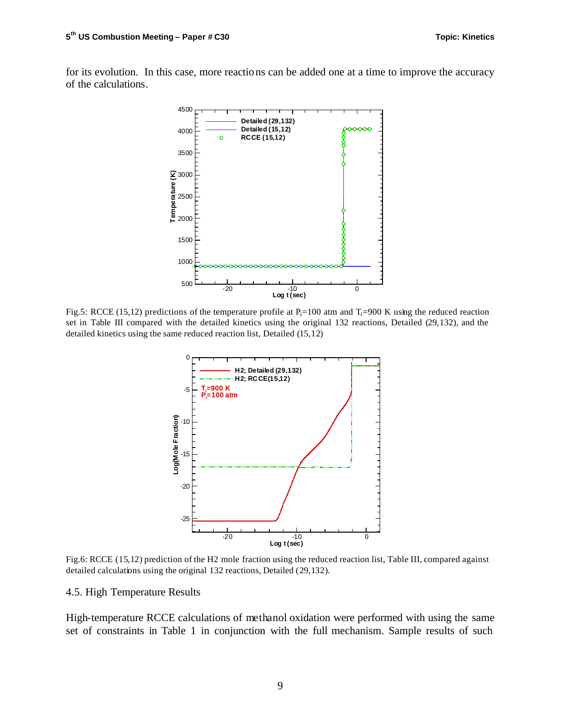for its evolution. In this case, more reactions can be added one at a time to improve the accuracy of the calculations.



Fig.5: RCCE (15,12) predictions of the temperature profile at  $P_i=100$  atm and  $T_i=900$  K using the reduced reaction set in Table III compared with the detailed kinetics using the original 132 reactions, Detailed (29,132), and the detailed kinetics using the same reduced reaction list, Detailed (15,12)



Fig.6: RCCE (15,12) prediction of the H2 mole fraction using the reduced reaction list, Table III, compared against detailed calculations using the original 132 reactions, Detailed (29,132).

#### 4.5. High Temperature Results

High-temperature RCCE calculations of methanol oxidation were performed with using the same set of constraints in Table 1 in conjunction with the full mechanism. Sample results of such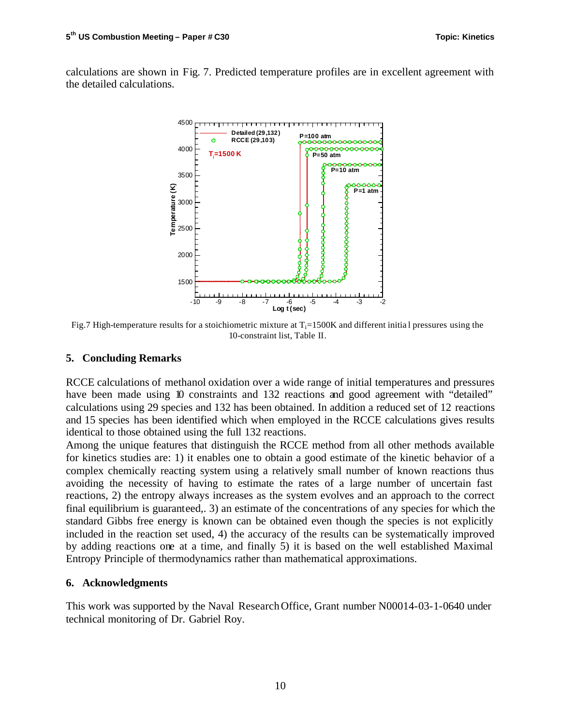calculations are shown in Fig. 7. Predicted temperature profiles are in excellent agreement with the detailed calculations.



Fig.7 High-temperature results for a stoichiometric mixture at  $T_i=1500K$  and different initial pressures using the 10-constraint list, Table II.

# **5. Concluding Remarks**

RCCE calculations of methanol oxidation over a wide range of initial temperatures and pressures have been made using 10 constraints and 132 reactions and good agreement with "detailed" calculations using 29 species and 132 has been obtained. In addition a reduced set of 12 reactions and 15 species has been identified which when employed in the RCCE calculations gives results identical to those obtained using the full 132 reactions.

Among the unique features that distinguish the RCCE method from all other methods available for kinetics studies are: 1) it enables one to obtain a good estimate of the kinetic behavior of a complex chemically reacting system using a relatively small number of known reactions thus avoiding the necessity of having to estimate the rates of a large number of uncertain fast reactions, 2) the entropy always increases as the system evolves and an approach to the correct final equilibrium is guaranteed,. 3) an estimate of the concentrations of any species for which the standard Gibbs free energy is known can be obtained even though the species is not explicitly included in the reaction set used, 4) the accuracy of the results can be systematically improved by adding reactions one at a time, and finally 5) it is based on the well established Maximal Entropy Principle of thermodynamics rather than mathematical approximations.

# **6. Acknowledgments**

This work was supported by the Naval Research Office, Grant number N00014-03-1-0640 under technical monitoring of Dr. Gabriel Roy.